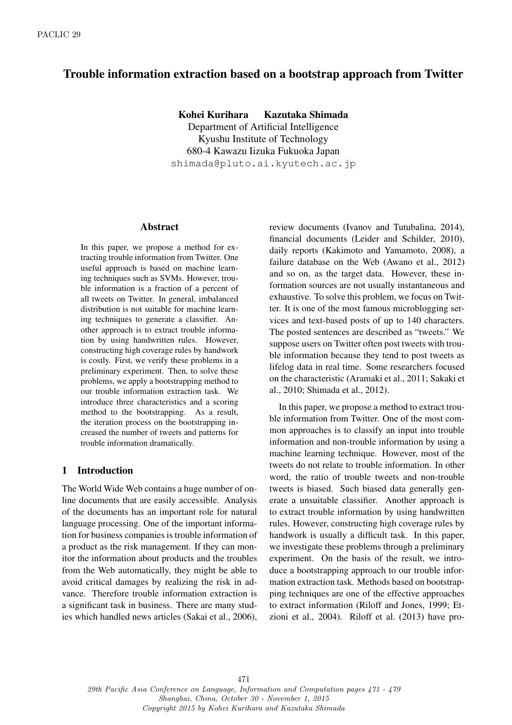# Trouble information extraction based on a bootstrap approach from Twitter

Kohei Kurihara Kazutaka Shimada

Department of Artificial Intelligence Kyushu Institute of Technology 680-4 Kawazu Iizuka Fukuoka Japan shimada@pluto.ai.kyutech.ac.jp

#### Abstract

In this paper, we propose a method for extracting trouble information from Twitter. One useful approach is based on machine learning techniques such as SVMs. However, trouble information is a fraction of a percent of all tweets on Twitter. In general, imbalanced distribution is not suitable for machine learning techniques to generate a classifier. Another approach is to extract trouble information by using handwritten rules. However, constructing high coverage rules by handwork is costly. First, we verify these problems in a preliminary experiment. Then, to solve these problems, we apply a bootstrapping method to our trouble information extraction task. We introduce three characteristics and a scoring method to the bootstrapping. As a result, the iteration process on the bootstrapping increased the number of tweets and patterns for trouble information dramatically.

## 1 Introduction

The World Wide Web contains a huge number of online documents that are easily accessible. Analysis of the documents has an important role for natural language processing. One of the important information for business companies is trouble information of a product as the risk management. If they can monitor the information about products and the troubles from the Web automatically, they might be able to avoid critical damages by realizing the risk in advance. Therefore trouble information extraction is a significant task in business. There are many studies which handled news articles (Sakai et al., 2006), review documents (Ivanov and Tutubalina, 2014), financial documents (Leider and Schilder, 2010), daily reports (Kakimoto and Yamamoto, 2008), a failure database on the Web (Awano et al., 2012) and so on, as the target data. However, these information sources are not usually instantaneous and exhaustive. To solve this problem, we focus on Twitter. It is one of the most famous microblogging services and text-based posts of up to 140 characters. The posted sentences are described as "tweets." We suppose users on Twitter often post tweets with trouble information because they tend to post tweets as lifelog data in real time. Some researchers focused on the characteristic (Aramaki et al., 2011; Sakaki et al., 2010; Shimada et al., 2012).

In this paper, we propose a method to extract trouble information from Twitter. One of the most common approaches is to classify an input into trouble information and non-trouble information by using a machine learning technique. However, most of the tweets do not relate to trouble information. In other word, the ratio of trouble tweets and non-trouble tweets is biased. Such biased data generally generate a unsuitable classifier. Another approach is to extract trouble information by using handwritten rules. However, constructing high coverage rules by handwork is usually a difficult task. In this paper, we investigate these problems through a preliminary experiment. On the basis of the result, we introduce a bootstrapping approach to our trouble information extraction task. Methods based on bootstrapping techniques are one of the effective approaches to extract information (Riloff and Jones, 1999; Etzioni et al., 2004). Riloff et al. (2013) have pro-

29th Pacific Asia Conference on Language, Information and Computation pages 471 - 479 Shanghai, China, October 30 - November 1, 2015 Copyright 2015 by Kohei Kurihara and Kazutaka Shimada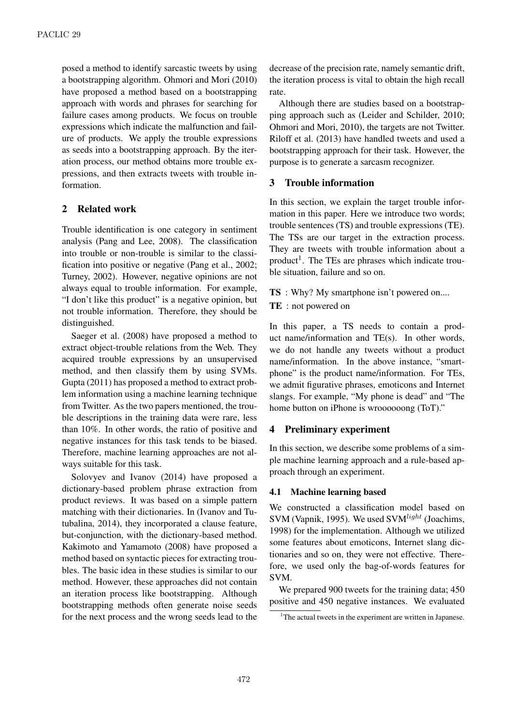posed a method to identify sarcastic tweets by using a bootstrapping algorithm. Ohmori and Mori (2010) have proposed a method based on a bootstrapping approach with words and phrases for searching for failure cases among products. We focus on trouble expressions which indicate the malfunction and failure of products. We apply the trouble expressions as seeds into a bootstrapping approach. By the iteration process, our method obtains more trouble expressions, and then extracts tweets with trouble information.

# 2 Related work

Trouble identification is one category in sentiment analysis (Pang and Lee, 2008). The classification into trouble or non-trouble is similar to the classification into positive or negative (Pang et al., 2002; Turney, 2002). However, negative opinions are not always equal to trouble information. For example, "I don't like this product" is a negative opinion, but not trouble information. Therefore, they should be distinguished.

Saeger et al. (2008) have proposed a method to extract object-trouble relations from the Web. They acquired trouble expressions by an unsupervised method, and then classify them by using SVMs. Gupta (2011) has proposed a method to extract problem information using a machine learning technique from Twitter. As the two papers mentioned, the trouble descriptions in the training data were rare, less than 10%. In other words, the ratio of positive and negative instances for this task tends to be biased. Therefore, machine learning approaches are not always suitable for this task.

Solovyev and Ivanov (2014) have proposed a dictionary-based problem phrase extraction from product reviews. It was based on a simple pattern matching with their dictionaries. In (Ivanov and Tutubalina, 2014), they incorporated a clause feature, but-conjunction, with the dictionary-based method. Kakimoto and Yamamoto (2008) have proposed a method based on syntactic pieces for extracting troubles. The basic idea in these studies is similar to our method. However, these approaches did not contain an iteration process like bootstrapping. Although bootstrapping methods often generate noise seeds for the next process and the wrong seeds lead to the

decrease of the precision rate, namely semantic drift, the iteration process is vital to obtain the high recall rate.

Although there are studies based on a bootstrapping approach such as (Leider and Schilder, 2010; Ohmori and Mori, 2010), the targets are not Twitter. Riloff et al. (2013) have handled tweets and used a bootstrapping approach for their task. However, the purpose is to generate a sarcasm recognizer.

# 3 Trouble information

In this section, we explain the target trouble information in this paper. Here we introduce two words; trouble sentences (TS) and trouble expressions (TE). The TSs are our target in the extraction process. They are tweets with trouble information about a product<sup>1</sup>. The TEs are phrases which indicate trouble situation, failure and so on.

TS : Why? My smartphone isn't powered on....

TE : not powered on

In this paper, a TS needs to contain a product name/information and TE(s). In other words, we do not handle any tweets without a product name/information. In the above instance, "smartphone" is the product name/information. For TEs, we admit figurative phrases, emoticons and Internet slangs. For example, "My phone is dead" and "The home button on iPhone is wroooooong (ToT)."

## 4 Preliminary experiment

In this section, we describe some problems of a simple machine learning approach and a rule-based approach through an experiment.

## 4.1 Machine learning based

We constructed a classification model based on SVM (Vapnik, 1995). We used SVM*light* (Joachims, 1998) for the implementation. Although we utilized some features about emoticons, Internet slang dictionaries and so on, they were not effective. Therefore, we used only the bag-of-words features for SVM.

We prepared 900 tweets for the training data; 450 positive and 450 negative instances. We evaluated

 $1$ <sup>1</sup>The actual tweets in the experiment are written in Japanese.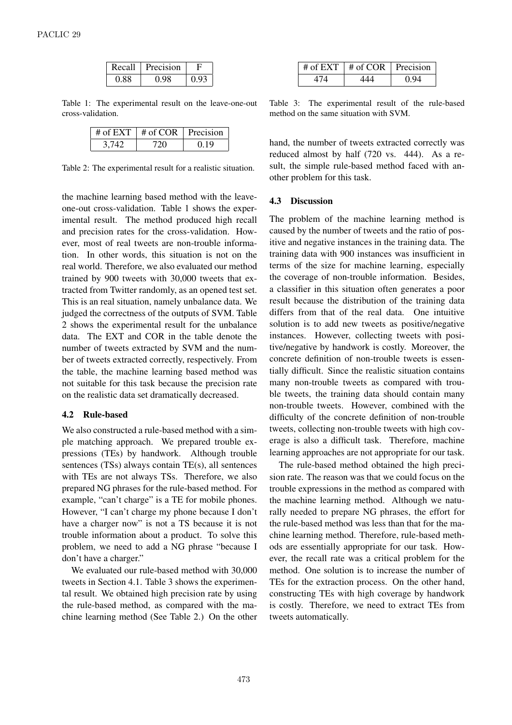| Recall | Precision |      |
|--------|-----------|------|
| O 88   |           | 0.92 |

Table 1: The experimental result on the leave-one-out cross-validation.

| # of EXT $\perp$ # of COR $\perp$ Precision |      |
|---------------------------------------------|------|
|                                             | በ 19 |

Table 2: The experimental result for a realistic situation.

the machine learning based method with the leaveone-out cross-validation. Table 1 shows the experimental result. The method produced high recall and precision rates for the cross-validation. However, most of real tweets are non-trouble information. In other words, this situation is not on the real world. Therefore, we also evaluated our method trained by 900 tweets with 30,000 tweets that extracted from Twitter randomly, as an opened test set. This is an real situation, namely unbalance data. We judged the correctness of the outputs of SVM. Table 2 shows the experimental result for the unbalance data. The EXT and COR in the table denote the number of tweets extracted by SVM and the number of tweets extracted correctly, respectively. From the table, the machine learning based method was not suitable for this task because the precision rate on the realistic data set dramatically decreased.

#### 4.2 Rule-based

We also constructed a rule-based method with a simple matching approach. We prepared trouble expressions (TEs) by handwork. Although trouble sentences (TSs) always contain TE(s), all sentences with TEs are not always TSs. Therefore, we also prepared NG phrases for the rule-based method. For example, "can't charge" is a TE for mobile phones. However, "I can't charge my phone because I don't have a charger now" is not a TS because it is not trouble information about a product. To solve this problem, we need to add a NG phrase "because I don't have a charger."

We evaluated our rule-based method with 30,000 tweets in Section 4.1. Table 3 shows the experimental result. We obtained high precision rate by using the rule-based method, as compared with the machine learning method (See Table 2.) On the other

| # of EXT $\vert$ # of COR $\vert$ Precision |      |
|---------------------------------------------|------|
|                                             | 0 Q4 |

Table 3: The experimental result of the rule-based method on the same situation with SVM.

hand, the number of tweets extracted correctly was reduced almost by half (720 vs. 444). As a result, the simple rule-based method faced with another problem for this task.

### 4.3 Discussion

The problem of the machine learning method is caused by the number of tweets and the ratio of positive and negative instances in the training data. The training data with 900 instances was insufficient in terms of the size for machine learning, especially the coverage of non-trouble information. Besides, a classifier in this situation often generates a poor result because the distribution of the training data differs from that of the real data. One intuitive solution is to add new tweets as positive/negative instances. However, collecting tweets with positive/negative by handwork is costly. Moreover, the concrete definition of non-trouble tweets is essentially difficult. Since the realistic situation contains many non-trouble tweets as compared with trouble tweets, the training data should contain many non-trouble tweets. However, combined with the difficulty of the concrete definition of non-trouble tweets, collecting non-trouble tweets with high coverage is also a difficult task. Therefore, machine learning approaches are not appropriate for our task.

The rule-based method obtained the high precision rate. The reason was that we could focus on the trouble expressions in the method as compared with the machine learning method. Although we naturally needed to prepare NG phrases, the effort for the rule-based method was less than that for the machine learning method. Therefore, rule-based methods are essentially appropriate for our task. However, the recall rate was a critical problem for the method. One solution is to increase the number of TEs for the extraction process. On the other hand, constructing TEs with high coverage by handwork is costly. Therefore, we need to extract TEs from tweets automatically.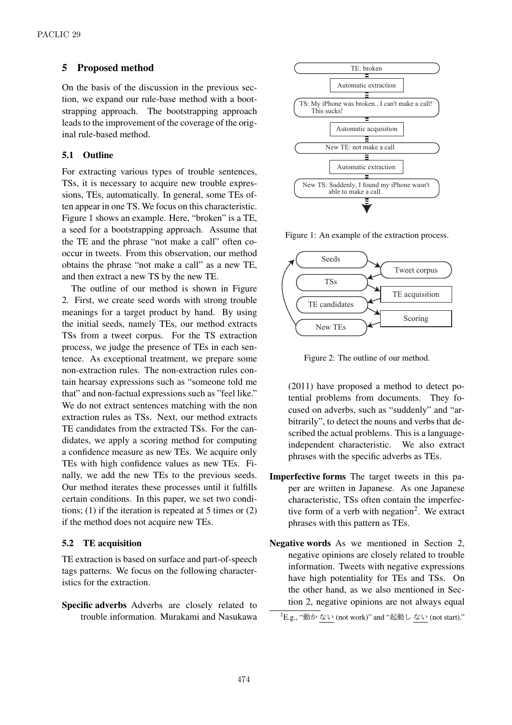## 5 Proposed method

On the basis of the discussion in the previous section, we expand our rule-base method with a bootstrapping approach. The bootstrapping approach leads to the improvement of the coverage of the original rule-based method.

### 5.1 Outline

For extracting various types of trouble sentences, TSs, it is necessary to acquire new trouble expressions, TEs, automatically. In general, some TEs often appear in one TS. We focus on this characteristic. Figure 1 shows an example. Here, "broken" is a TE, a seed for a bootstrapping approach. Assume that the TE and the phrase "not make a call" often cooccur in tweets. From this observation, our method obtains the phrase "not make a call" as a new TE, and then extract a new TS by the new TE.

The outline of our method is shown in Figure 2. First, we create seed words with strong trouble meanings for a target product by hand. By using the initial seeds, namely TEs, our method extracts TSs from a tweet corpus. For the TS extraction process, we judge the presence of TEs in each sentence. As exceptional treatment, we prepare some non-extraction rules. The non-extraction rules contain hearsay expressions such as "someone told me that" and non-factual expressions such as "feel like." We do not extract sentences matching with the non extraction rules as TSs. Next, our method extracts TE candidates from the extracted TSs. For the candidates, we apply a scoring method for computing a confidence measure as new TEs. We acquire only TEs with high confidence values as new TEs. Finally, we add the new TEs to the previous seeds. Our method iterates these processes until it fulfills certain conditions. In this paper, we set two conditions;  $(1)$  if the iteration is repeated at 5 times or  $(2)$ if the method does not acquire new TEs.

#### 5.2 TE acquisition

TE extraction is based on surface and part-of-speech tags patterns. We focus on the following characteristics for the extraction.

Specific adverbs Adverbs are closely related to trouble information. Murakami and Nasukawa



Figure 1: An example of the extraction process.



Figure 2: The outline of our method.

(2011) have proposed a method to detect potential problems from documents. They focused on adverbs, such as "suddenly" and "arbitrarily", to detect the nouns and verbs that described the actual problems. This is a languageindependent characteristic. We also extract phrases with the specific adverbs as TEs.

- Imperfective forms The target tweets in this paper are written in Japanese. As one Japanese characteristic, TSs often contain the imperfective form of a verb with negation<sup>2</sup>. We extract phrases with this pattern as TEs.
- Negative words As we mentioned in Section 2, negative opinions are closely related to trouble information. Tweets with negative expressions have high potentiality for TEs and TSs. On the other hand, as we also mentioned in Section 2, negative opinions are not always equal

 ${}^{2}$ E.g., "動かない (not work)" and "起動しない (not start)."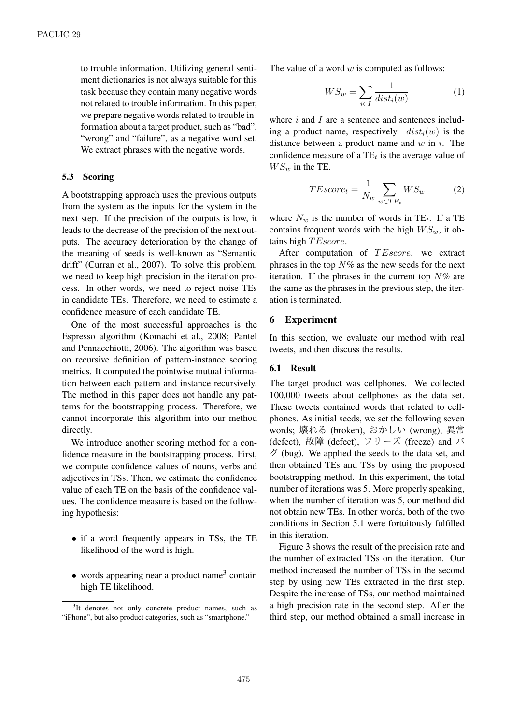to trouble information. Utilizing general sentiment dictionaries is not always suitable for this task because they contain many negative words not related to trouble information. In this paper, we prepare negative words related to trouble information about a target product, such as "bad", "wrong" and "failure", as a negative word set. We extract phrases with the negative words.

#### 5.3 Scoring

A bootstrapping approach uses the previous outputs from the system as the inputs for the system in the next step. If the precision of the outputs is low, it leads to the decrease of the precision of the next outputs. The accuracy deterioration by the change of the meaning of seeds is well-known as "Semantic drift" (Curran et al., 2007). To solve this problem, we need to keep high precision in the iteration process. In other words, we need to reject noise TEs in candidate TEs. Therefore, we need to estimate a confidence measure of each candidate TE.

One of the most successful approaches is the Espresso algorithm (Komachi et al., 2008; Pantel and Pennacchiotti, 2006). The algorithm was based on recursive definition of pattern-instance scoring metrics. It computed the pointwise mutual information between each pattern and instance recursively. The method in this paper does not handle any patterns for the bootstrapping process. Therefore, we cannot incorporate this algorithm into our method directly.

We introduce another scoring method for a confidence measure in the bootstrapping process. First, we compute confidence values of nouns, verbs and adjectives in TSs. Then, we estimate the confidence value of each TE on the basis of the confidence values. The confidence measure is based on the following hypothesis:

- if a word frequently appears in TSs, the TE likelihood of the word is high.
- words appearing near a product name<sup>3</sup> contain high TE likelihood.

The value of a word *w* is computed as follows:

$$
WS_w = \sum_{i \in I} \frac{1}{dist_i(w)}\tag{1}
$$

where *i* and *I* are a sentence and sentences including a product name, respectively.  $dist_i(w)$  is the distance between a product name and *w* in *i*. The confidence measure of a TE*<sup>t</sup>* is the average value of  $WS_w$  in the TE.

$$
TEscore_t = \frac{1}{N_w} \sum_{w \in TE_t} WS_w \tag{2}
$$

where  $N_w$  is the number of words in TE<sub>t</sub>. If a TE contains frequent words with the high  $WS_w$ , it obtains high *T Escore*.

After computation of *T Escore*, we extract phrases in the top *N*% as the new seeds for the next iteration. If the phrases in the current top *N*% are the same as the phrases in the previous step, the iteration is terminated.

### 6 Experiment

In this section, we evaluate our method with real tweets, and then discuss the results.

#### 6.1 Result

The target product was cellphones. We collected 100,000 tweets about cellphones as the data set. These tweets contained words that related to cellphones. As initial seeds, we set the following seven words; 壊れる (broken), おかしい (wrong), 異常 (defect), 故障 (defect), フリーズ (freeze) and バ  $\breve{\mathcal{F}}$  (bug). We applied the seeds to the data set, and then obtained TEs and TSs by using the proposed bootstrapping method. In this experiment, the total number of iterations was 5. More properly speaking, when the number of iteration was 5, our method did not obtain new TEs. In other words, both of the two conditions in Section 5.1 were fortuitously fulfilled in this iteration.

Figure 3 shows the result of the precision rate and the number of extracted TSs on the iteration. Our method increased the number of TSs in the second step by using new TEs extracted in the first step. Despite the increase of TSs, our method maintained a high precision rate in the second step. After the third step, our method obtained a small increase in

<sup>&</sup>lt;sup>3</sup>It denotes not only concrete product names, such as "iPhone", but also product categories, such as "smartphone."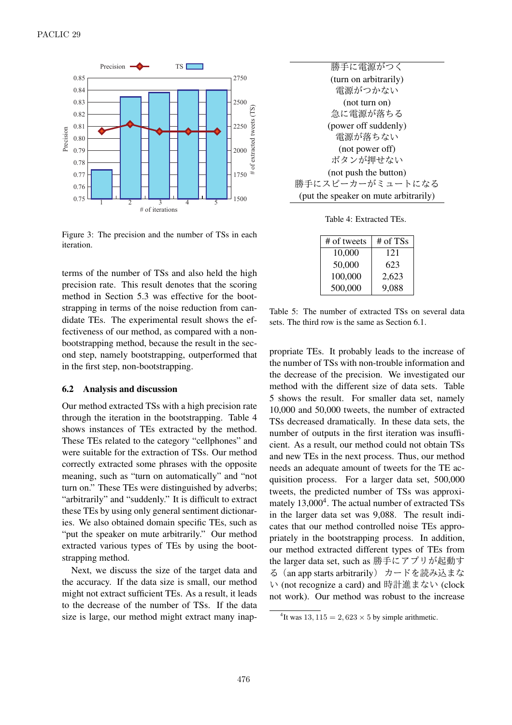

Figure 3: The precision and the number of TSs in each iteration.

terms of the number of TSs and also held the high precision rate. This result denotes that the scoring method in Section 5.3 was effective for the bootstrapping in terms of the noise reduction from candidate TEs. The experimental result shows the effectiveness of our method, as compared with a nonbootstrapping method, because the result in the second step, namely bootstrapping, outperformed that in the first step, non-bootstrapping.

#### 6.2 Analysis and discussion

Our method extracted TSs with a high precision rate through the iteration in the bootstrapping. Table 4 shows instances of TEs extracted by the method. These TEs related to the category "cellphones" and were suitable for the extraction of TSs. Our method correctly extracted some phrases with the opposite meaning, such as "turn on automatically" and "not turn on." These TEs were distinguished by adverbs; "arbitrarily" and "suddenly." It is difficult to extract these TEs by using only general sentiment dictionaries. We also obtained domain specific TEs, such as "put the speaker on mute arbitrarily." Our method extracted various types of TEs by using the bootstrapping method.

Next, we discuss the size of the target data and the accuracy. If the data size is small, our method might not extract sufficient TEs. As a result, it leads to the decrease of the number of TSs. If the data size is large, our method might extract many inap-

| 勝手に電源がつく                              |  |  |  |  |
|---------------------------------------|--|--|--|--|
| (turn on arbitrarily)                 |  |  |  |  |
| 雷源がつかない                               |  |  |  |  |
| (not turn on)                         |  |  |  |  |
| 急に電源が落ちる                              |  |  |  |  |
| (power off suddenly)                  |  |  |  |  |
| 雷源が落ちない                               |  |  |  |  |
| (not power off)                       |  |  |  |  |
| ボタンが押せない                              |  |  |  |  |
| (not push the button)                 |  |  |  |  |
| 勝手にスピーカーがミュートになる                      |  |  |  |  |
| (put the speaker on mute arbitrarily) |  |  |  |  |

Table 4: Extracted TEs.

| # of tweets | # of TSs |
|-------------|----------|
| 10,000      | 121      |
| 50,000      | 623      |
| 100,000     | 2,623    |
| 500,000     | 9,088    |

Table 5: The number of extracted TSs on several data sets. The third row is the same as Section 6.1.

propriate TEs. It probably leads to the increase of the number of TSs with non-trouble information and the decrease of the precision. We investigated our method with the different size of data sets. Table 5 shows the result. For smaller data set, namely 10,000 and 50,000 tweets, the number of extracted TSs decreased dramatically. In these data sets, the number of outputs in the first iteration was insufficient. As a result, our method could not obtain TSs and new TEs in the next process. Thus, our method needs an adequate amount of tweets for the TE acquisition process. For a larger data set, 500,000 tweets, the predicted number of TSs was approximately 13,000<sup>4</sup>. The actual number of extracted TSs in the larger data set was 9,088. The result indicates that our method controlled noise TEs appropriately in the bootstrapping process. In addition, our method extracted different types of TEs from the larger data set, such as 勝手にアプリが起動す る(an app starts arbitrarily) カードを読み込まな い (not recognize a card) and 時計進まない (clock not work). Our method was robust to the increase

<sup>&</sup>lt;sup>4</sup>It was  $13, 115 = 2,623 \times 5$  by simple arithmetic.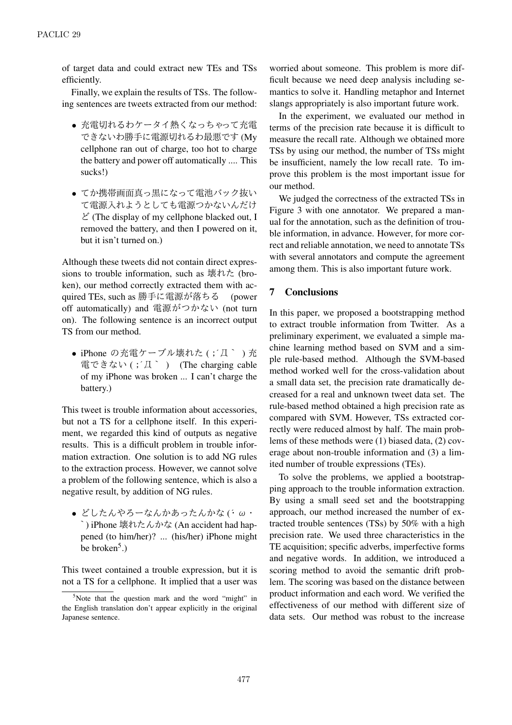of target data and could extract new TEs and TSs efficiently.

Finally, we explain the results of TSs. The following sentences are tweets extracted from our method:

- *•* 充電切れるわケータイ熱くなっちゃって充電 できないわ勝手に電源切れるわ最悪です (My cellphone ran out of charge, too hot to charge the battery and power off automatically .... This sucks!)
- *•* てか携帯画面真っ黒になって電池バック抜い て電源入れようとしても電源つかないんだけ  $\mathcal E$  (The display of my cellphone blacked out, I removed the battery, and then I powered on it, but it isn't turned on.)

Although these tweets did not contain direct expressions to trouble information, such as 壊れた (broken), our method correctly extracted them with acquired TEs, such as 勝手に電源が落ちる (power off automatically) and 電源がつかない (not turn on). The following sentence is an incorrect output TS from our method.

● iPhone の充電ケーブル壊れた(;´Д`)充 電できない (;´Д` ) (The charging cable of my iPhone was broken ... I can't charge the battery.)

This tweet is trouble information about accessories, but not a TS for a cellphone itself. In this experiment, we regarded this kind of outputs as negative results. This is a difficult problem in trouble information extraction. One solution is to add NG rules to the extraction process. However, we cannot solve a problem of the following sentence, which is also a negative result, by addition of NG rules.

*•* どしたんやろーなんかあったんかな (´・ω・ `) iPhone 壊れたんかな (An accident had happened (to him/her)? ... (his/her) iPhone might be broken<sup>5</sup>.)

This tweet contained a trouble expression, but it is not a TS for a cellphone. It implied that a user was

worried about someone. This problem is more difficult because we need deep analysis including semantics to solve it. Handling metaphor and Internet slangs appropriately is also important future work.

In the experiment, we evaluated our method in terms of the precision rate because it is difficult to measure the recall rate. Although we obtained more TSs by using our method, the number of TSs might be insufficient, namely the low recall rate. To improve this problem is the most important issue for our method.

We judged the correctness of the extracted TSs in Figure 3 with one annotator. We prepared a manual for the annotation, such as the definition of trouble information, in advance. However, for more correct and reliable annotation, we need to annotate TSs with several annotators and compute the agreement among them. This is also important future work.

# 7 Conclusions

In this paper, we proposed a bootstrapping method to extract trouble information from Twitter. As a preliminary experiment, we evaluated a simple machine learning method based on SVM and a simple rule-based method. Although the SVM-based method worked well for the cross-validation about a small data set, the precision rate dramatically decreased for a real and unknown tweet data set. The rule-based method obtained a high precision rate as compared with SVM. However, TSs extracted correctly were reduced almost by half. The main problems of these methods were (1) biased data, (2) coverage about non-trouble information and (3) a limited number of trouble expressions (TEs).

To solve the problems, we applied a bootstrapping approach to the trouble information extraction. By using a small seed set and the bootstrapping approach, our method increased the number of extracted trouble sentences (TSs) by 50% with a high precision rate. We used three characteristics in the TE acquisition; specific adverbs, imperfective forms and negative words. In addition, we introduced a scoring method to avoid the semantic drift problem. The scoring was based on the distance between product information and each word. We verified the effectiveness of our method with different size of data sets. Our method was robust to the increase

 $5$ Note that the question mark and the word "might" in the English translation don't appear explicitly in the original Japanese sentence.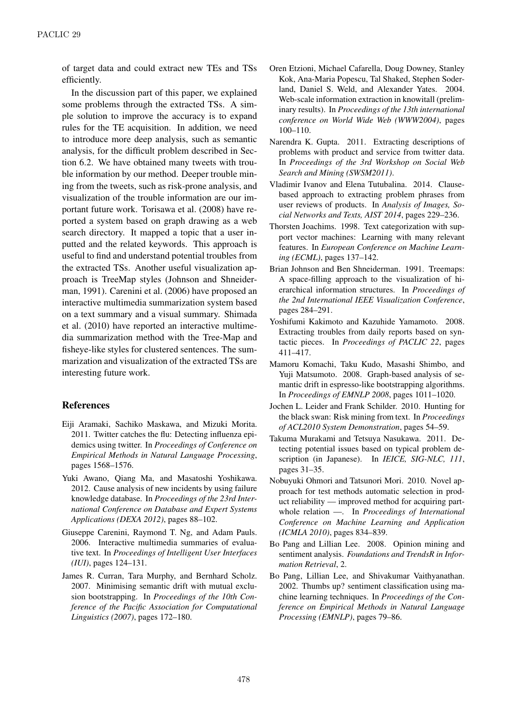of target data and could extract new TEs and TSs efficiently.

In the discussion part of this paper, we explained some problems through the extracted TSs. A simple solution to improve the accuracy is to expand rules for the TE acquisition. In addition, we need to introduce more deep analysis, such as semantic analysis, for the difficult problem described in Section 6.2. We have obtained many tweets with trouble information by our method. Deeper trouble mining from the tweets, such as risk-prone analysis, and visualization of the trouble information are our important future work. Torisawa et al. (2008) have reported a system based on graph drawing as a web search directory. It mapped a topic that a user inputted and the related keywords. This approach is useful to find and understand potential troubles from the extracted TSs. Another useful visualization approach is TreeMap styles (Johnson and Shneiderman, 1991). Carenini et al. (2006) have proposed an interactive multimedia summarization system based on a text summary and a visual summary. Shimada et al. (2010) have reported an interactive multimedia summarization method with the Tree-Map and fisheye-like styles for clustered sentences. The summarization and visualization of the extracted TSs are interesting future work.

## References

- Eiji Aramaki, Sachiko Maskawa, and Mizuki Morita. 2011. Twitter catches the flu: Detecting influenza epidemics using twitter. In *Proceedings of Conference on Empirical Methods in Natural Language Processing*, pages 1568–1576.
- Yuki Awano, Qiang Ma, and Masatoshi Yoshikawa. 2012. Cause analysis of new incidents by using failure knowledge database. In *Proceedings of the 23rd International Conference on Database and Expert Systems Applications (DEXA 2012)*, pages 88–102.
- Giuseppe Carenini, Raymond T. Ng, and Adam Pauls. 2006. Interactive multimedia summaries of evaluative text. In *Proceedings of Intelligent User Interfaces (IUI)*, pages 124–131.
- James R. Curran, Tara Murphy, and Bernhard Scholz. 2007. Minimising semantic drift with mutual exclusion bootstrapping. In *Proceedings of the 10th Conference of the Pacific Association for Computational Linguistics (2007)*, pages 172–180.
- Oren Etzioni, Michael Cafarella, Doug Downey, Stanley Kok, Ana-Maria Popescu, Tal Shaked, Stephen Soderland, Daniel S. Weld, and Alexander Yates. 2004. Web-scale information extraction in knowitall (preliminary results). In *Proceedings of the 13th international conference on World Wide Web (WWW2004)*, pages 100–110.
- Narendra K. Gupta. 2011. Extracting descriptions of problems with product and service from twitter data. In *Proceedings of the 3rd Workshop on Social Web Search and Mining (SWSM2011)*.
- Vladimir Ivanov and Elena Tutubalina. 2014. Clausebased approach to extracting problem phrases from user reviews of products. In *Analysis of Images, Social Networks and Texts, AIST 2014*, pages 229–236.
- Thorsten Joachims. 1998. Text categorization with support vector machines: Learning with many relevant features. In *European Conference on Machine Learning (ECML)*, pages 137–142.
- Brian Johnson and Ben Shneiderman. 1991. Treemaps: A space-filling approach to the visualization of hierarchical information structures. In *Proceedings of the 2nd International IEEE Visualization Conference*, pages 284–291.
- Yoshifumi Kakimoto and Kazuhide Yamamoto. 2008. Extracting troubles from daily reports based on syntactic pieces. In *Proceedings of PACLIC 22*, pages 411–417.
- Mamoru Komachi, Taku Kudo, Masashi Shimbo, and Yuji Matsumoto. 2008. Graph-based analysis of semantic drift in espresso-like bootstrapping algorithms. In *Proceedings of EMNLP 2008*, pages 1011–1020.
- Jochen L. Leider and Frank Schilder. 2010. Hunting for the black swan: Risk mining from text. In *Proceedings of ACL2010 System Demonstration*, pages 54–59.
- Takuma Murakami and Tetsuya Nasukawa. 2011. Detecting potential issues based on typical problem description (in Japanese). In *IEICE, SIG-NLC, 111*, pages 31–35.
- Nobuyuki Ohmori and Tatsunori Mori. 2010. Novel approach for test methods automatic selection in product reliability — improved method for acquiring partwhole relation —. In *Proceedings of International Conference on Machine Learning and Application (ICMLA 2010)*, pages 834–839.
- Bo Pang and Lillian Lee. 2008. Opinion mining and sentiment analysis. *Foundations and TrendsR in Information Retrieval*, 2.
- Bo Pang, Lillian Lee, and Shivakumar Vaithyanathan. 2002. Thumbs up? sentiment classification using machine learning techniques. In *Proceedings of the Conference on Empirical Methods in Natural Language Processing (EMNLP)*, pages 79–86.